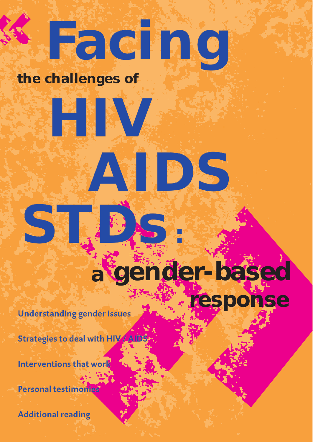# **Facing**

**AIDS**

### **the challenges of**

**HIV**

## **a gender-based**

**:**

**response**

**Understanding gender issues**

**Strategies to deal with HIV / AIDS**

**Interventions that work**

**STDs**

**Personal testimonies**

**Additional reading**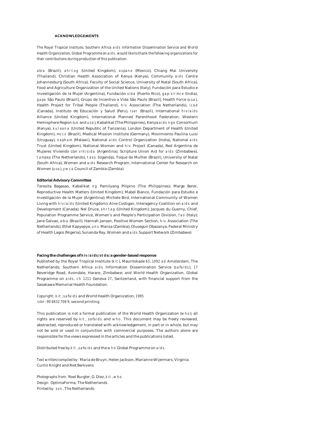#### **ACKNOWLEDGEMENTS**

*The Royal Tropical Institute, Southern Africa aids Information Dissemination Service and World Health Organization, Global Programme on aids, would like to thank the following organizations for their contributions during production of this publication:*

abia (Brazil), ahrtag (United Kingdom), aspane (Mexico), Chiang Mai University (Thailand), Christian Health Association of Kenya (Kenya), Community aids Centre Johannesburg (South Africa), Faculty of Social Science, University of Natal (South Africa), Food and Agriculture Organization of the United Nations (Italy), Fundación para Estudio e Investigación de la Mujer (Argentina), Fundación sida (Puerto Rico), gap-sirmce (India), gapa São Paulo (Brazil), Grupo de Incentivo a Vida São Paulo (Brazil), Health Force (usa), Health Project for Tribal People (Thailand), hiv Association (The Netherlands), icad (Canada), Instituto de Educación y Salud (Peru), iser (Brazil), International hiv/aids Alliance (United Kingdom), International Planned Parenthood Federation, Western Hemisphere Region (uk and usa), Kabalikat (The Philippines), Kenya aids ngo Consortium (Kenya), kuleana (United Republic of Tanzania), London Department of Health (United Kingdom), mccs (Brazil), Medical Mission Institute (Germany), Movimiento Paulina Luisi (Uruguay), napham (Malawi), National aids Control Organization (India), National aids Trust (United Kingdom), National Women and hiv Project (Canada), Red Argentina de Mujeres Viviendo con vih/sida (Argentina), Scripture Union Aid for aids (Zimbabwe), tampep (The Netherlands), taso (Uganda), Toque de Mulher (Brazil), University of Natal (South Africa), Women and aids Research Program, International Center for Research on Women (usa), ywca Council of Zambia (Zambia)

#### **Editorial Advisory Committee**

Teresita Bagasao, Kabalikat ng Pamilyang Pilipino (The Philippines); Marge Berer, Reproductive Health Matters (United Kingdom); Mabel Bianco, Fundación para Estudio e Investigación de la Mujer (Argentina); Michele Bird, International Community of Women Living with hiv/aids (United Kingdom); Aine Costigan, Interagency Coalition on aids and Development (Canada); Nel Druce, ahrtag (United Kingdom); Jacques du Guerny, Chief, Population Programme Service, Women's and People's Participation Division, fao (Italy); Jane Galvao, abia (Brazil); Hannah Jansen, Positive Women Section, hiv Association (The Netherlands); Ethel Kapyepye, unv Mansa (Zambia); Olusegun Obasanya, Federal Ministry of Health Lagos (Nigeria); Sunanda Ray, Women and aids Support Network (Zimbabwe)

#### **Facing the challenges of hiv/aids/stds: a gender-based response**

Published by the Royal Tropical Institute (kit), Mauritskade 63, 1092 ad Amsterdam, The Netherlands; Southern Africa aids Information Dissemination Service (safaids), 17 Beveridge Road, Avondale, Harare, Zimbabwe; and World Health Organization, Global Programme on aids, ch 1211 Geneva 27, Switzerland, with financial support from the Sasakawa Memorial Health Foundation.

*Copyright:* kit, safaids and World Health Organization, 1995 isbn: 90 6832 708 9; second printing

This publication is not a formal publication of the World Health Organization (who); all rights are reserved by kit, safaids and who. This document may be freely reviewed, abstracted, reproduced or translated with acknowledgement, in part or in whole, but may not be sold or used in conjunction with commercial purposes. The authors alone are responsible for the views expressed in the articles and the publications listed.

Distributed free by kit, safaids and the who Global Programme on aids.

*Text written/compiled by:* Maria de Bruyn, Helen Jackson, Marianne Wijermars, Virginia Curtin Knight and Riet Berkvens

*Photographs from:* Roel Burgler, G. Diez, kit, who *Design:* OptimaForma, The Netherlands *Printed by:* ssn, The Netherlands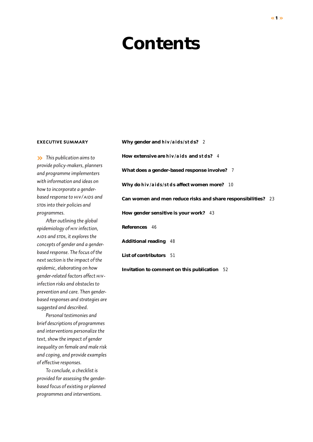## **Contents**

#### **EXECUTIVE SUMMARY**

**»** *This publication aims to provide policy-makers, planners and programme implementers with information and ideas on how to incorporate a gender*based response to **HIV/AIDS** and *stds into their policies and programmes.*

*After outlining the global epidemiology of hiv infection, aids and stds, it explores the concepts of gender and a genderbased response. The focus of the next section is the impact of the epidemic, elaborating on how gender-related factors affect hivinfection risks and obstacles to prevention and care. Then genderbased responses and strategies are suggested and described.*

*Personal testimonies and brief descriptions of programmes and interventions personalize the text, show the impact of gender inequality on female and male risk and coping, and provide examples of effective responses.*

*To conclude, a checklist is provided for assessing the genderbased focus of existing or planned programmes and interventions.*

**Why gender and hiv/aids/stds?** *2* **How extensive are hiv/aids and stds?** *4* **What does a gender-based response involve?** *7* **Why do hiv/aids/stds affect women more?** *10* **Can women and men reduce risks and share responsibilities?** *23* **How gender sensitive is your work?** *43* **References** *46* **Additional reading** *48* **List of contributors** *51* **Invitation to comment on this publication** *52*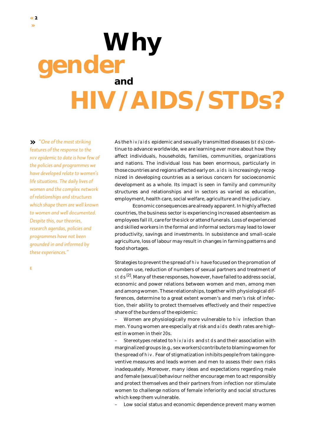*gender* **HIV/AIDS/STDs?**

**»** *"One of the most striking features of the response to the hiv epidemic to date is how few of the policies and programmes we have developed relate to women's life situations. The daily lives of women and the complex network of relationships and structures which shape them are well known to women and well documented. Despite this, our theories, research agendas, policies and programmes have not been grounded in and informed by these experiences."* 

As the hiv/aids epidemic and sexually transmitted diseases (stds) continue to advance worldwide, we are learning ever more about how they affect individuals, households, families, communities, organizations and nations. The individual loss has been enormous, particularly in those countries and regions affected early on. aids is increasingly recognized in developing countries as a serious concern for socioeconomic development as a whole. Its impact is seen in family and community structures and relationships and in sectors as varied as education, employment, health care, social welfare, agriculture and the judiciary.

Economic consequences are already apparent. In highly affected countries, the business sector is experiencing increased absenteeism as employees fall ill, care for the sick or attend funerals. Loss of experienced and skilled workers in the formal and informal sectors may lead to lower productivity, savings and investments. In subsistence and small-scale agriculture, loss of labour may result in changes in farming patterns and food shortages.

Strategies to prevent the spread of hiv have focused on the promotion of condom use, reduction of numbers of sexual partners and treatment of stds <sup>[2]</sup>. Many of these responses, however, have failed to address social, economic and power relations between women and men, among men and among women. These relationships, together with physiological differences, determine to a great extent women's and men's risk of infection, their ability to protect themselves effectively and their respective share of the burdens of the epidemic:

– Women are physiologically more vulnerable to hiv infection than men. Young women are especially at risk and aids death rates are highest in women in their 20s.

Stereotypes related to hiv/aids and stds and their association with marginalized groups (e.g., sex workers) contribute to blaming women for the spread of hiv. Fear of stigmatization inhibits people from taking preventive measures and leads women and men to assess their own risks inadequately. Moreover, many ideas and expectations regarding male and female (sexual) behaviour neither encourage men to act responsibly and protect themselves and their partners from infection nor stimulate women to challenge notions of female inferiority and social structures which keep them vulnerable.

Low social status and economic dependence prevent many women

e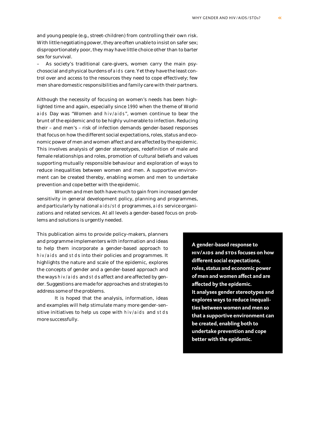and young people (e.g., street-children) from controlling their own risk. With little negotiating power, they are often unable to insist on safer sex; disproportionately poor, they may have little choice other than to barter sex for survival.

– As society's traditional care-givers, women carry the main psychosocial and physical burdens of aids care. Yet they have the least control over and access to the resources they need to cope effectively; few men share domestic responsibilities and family care with their partners.

Although the necessity of focusing on women's needs has been highlighted time and again, especially since 1990 when the theme of World aids Day was "Women and hiv/aids", women continue to bear the brunt of the epidemic and to be highly vulnerable to infection. Reducing their – and men's – risk of infection demands gender-based responses that focus on how the different social expectations, roles, status and economic power of men and women affect and are affected by the epidemic. This involves analysis of gender stereotypes, redefinition of male and female relationships and roles, promotion of cultural beliefs and values supporting mutually responsible behaviour and exploration of ways to reduce inequalities between women and men. A supportive environment can be created thereby, enabling women *and* men to undertake prevention and cope better with the epidemic.

Women and men both have much to gain from increased gender sensitivity in general development policy, planning and programmes, and particularly by national aids/std programmes, aids service organizations and related services. At all levels a gender-based focus on problems and solutions is urgently needed.

This publication aims to provide policy-makers, planners and programme implementers with information and ideas to help them incorporate a gender-based approach to hiv/aids and stds into their policies and programmes. It highlights the nature and scale of the epidemic, explores the concepts of gender and a gender-based approach and the ways hiv/aids and stds affect and are affected by gender. Suggestions are made for approaches and strategies to address some of the problems.

It is hoped that the analysis, information, ideas and examples will help stimulate many more gender-sensitive initiatives to help us cope with hiv/aids and stds more successfully.

**A gender-based response to hiv/aids and stds focuses on how different social expectations, roles, status and economic power of men and women affect and are affected by the epidemic. It analyses gender stereotypes and explores ways to reduce inequalities between women and men so that a supportive environment can be created, enabling both to undertake prevention and cope better with the epidemic.**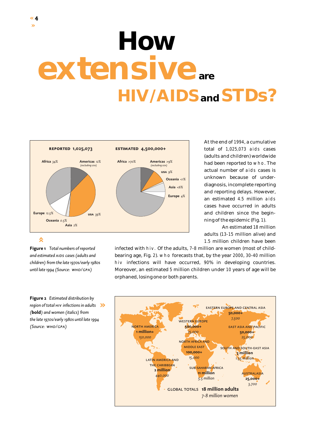# **How extensive are HIV/AIDSand STDs?**



At the end of 1994, a cumulative total of 1,025,073 aids cases (adults and children) worldwide had been reported to who. The actual number of aids cases is unknown because of underdiagnosis, incomplete reporting and reporting delays. However, an estimated 4.5 million aids cases have occurred in adults and children since the beginning of the epidemic (Fig. 1).

An estimated 18 million adults (13-15 million alive) and 1.5 million children have been

**Figure 1** *Total numbers of reported and estimated aids cases (adults and children) from the late 1970s/early 1980s until late 1994 (Source: who/gpa)*

**Figure 2** *Estimated distribution by region of total hiv infections in adults* **»***(***bold***) and women (italics) from the late 1970s/early 1980s until late 1994 (Source: who/gpa)*

infected with hiv. Of the adults, 7-8 million are women (most of childbearing age, Fig. 2). who forecasts that, by the year 2000, 30-40 million hiv infections will have occurred, 90% in developing countries. Moreover, an estimated 5 million children under 10 years of age will be orphaned, losing one or both parents.

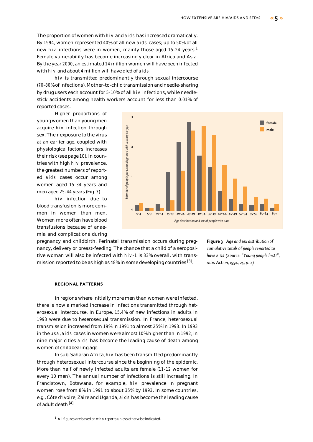The proportion of women with hiv and aids has increased dramatically. By 1994, women represented 40% of all new aids cases; up to 50% of all new hiv infections were in women, mainly those aged 15-24 years.<sup>1</sup> Female vulnerability has become increasingly clear in Africa and Asia. By the year 2000, an estimated 14 million women will have been infected with hiv and about 4 million will have died of aids.

hiv is transmitted predominantly through sexual intercourse (70-80% of infections). Mother-to-child transmission and needle-sharing by drug users each account for 5-10% of all hiv infections, while needlestick accidents among health workers account for less than 0.01% of reported cases.

Higher proportions of young women than young men acquire hiv infection through sex. Their exposure to the virus at an earlier age, coupled with physiological factors, increases their risk (see page 10). In countries with high hiv prevalence, the greatest numbers of reported aids cases occur among women aged 15-34 years and men aged 25-44 years (Fig. 3).

hiv infection due to blood transfusion is more common in women than men. Women more often have blood transfusions because of anaemia and complications during



pregnancy and childbirth. Perinatal transmission occurs during pregnancy, delivery or breast-feeding. The chance that a child of a seropositive woman will also be infected with hiv-1 is 33% overall, with transmission reported to be as high as  $48\%$  in some developing countries  $^{[3]}$ .

**Figure 3** *Age and sex distribution of cumulative totals of people reported to have aids (Source: "Young people first!", aids Action, 1994, 25, p. 2)*

#### **REGIONAL PATTERNS**

In regions where initially more men than women were infected, there is now a marked increase in infections transmitted through heterosexual intercourse. In Europe, 15.4% of new infections in adults in 1993 were due to heterosexual transmission. In France, heterosexual transmission increased from 19% in 1991 to almost 25% in 1993. In 1993 in the usa, aids cases in women were almost 10% higher than in 1992; in nine major cities aids has become the leading cause of death among women of childbearing age.

In sub-Saharan Africa, hiv has been transmitted predominantly through heterosexual intercourse since the beginning of the epidemic. More than half of newly infected adults are female (11-12 women for every 10 men). The annual number of infections is still increasing. In Francistown, Botswana, for example, hiv prevalence in pregnant women rose from 8% in 1991 to about 35% by 1993. In some countries, e.g., Côte d'Ivoire, Zaire and Uganda, aids has become the leading cause of adult death [4].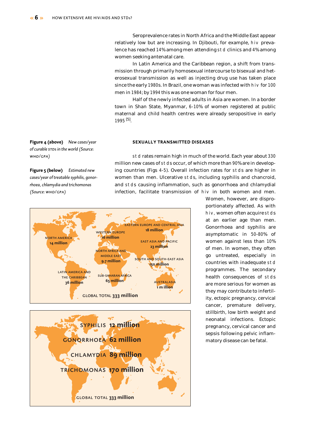Seroprevalence rates in North Africa and the Middle East appear relatively low but are increasing. In Djibouti, for example, hiv prevalence has reached 14% among men attending std clinics and 4% among women seeking antenatal care.

In Latin America and the Caribbean region, a shift from transmission through primarily homosexual intercourse to bisexual and heterosexual transmission as well as injecting drug use has taken place since the early 1980s. In Brazil, one woman was infected with hiv for 100 men in 1984; by 1994 this was one woman for four men.

Half of the newly infected adults in Asia are women. In a border town in Shan State, Myanmar, 6-10% of women registered at public maternal and child health centres were already seropositive in early 1995 [5].

#### **SEXUALLY TRANSMITTED DISEASES**

std rates remain high in much of the world. Each year about 330 million new cases of stds occur, of which more than 90% are in developing countries (Figs 4-5). Overall infection rates for stds are higher in women than men. Ulcerative stds, including syphilis and chancroid, and stds causing inflammation, such as gonorrhoea and chlamydial infection, facilitate transmission of hiv in both women and men.





Women, however, are disproportionately affected. As with hiv, women often acquire stds at an earlier age than men. Gonorrhoea and syphilis are asymptomatic in 50-80% of women against less than 10% of men. In women, they often go untreated, especially in countries with inadequate std programmes. The secondary health consequences of stds are more serious for women as they may contribute to infertility, ectopic pregnancy, cervical cancer, premature delivery, stillbirth, low birth weight and neonatal infections. Ectopic pregnancy, cervical cancer and sepsis following pelvic inflammatory disease can be fatal.

**Figure 4 (above)** *New cases/year*   $o$ *f* curable *s*TDs in the world (Source: *who/gpa)*

**Figure 5 (below)** *Estimated new cases/year of treatable syphilis, gonorrhoea, chlamydia and trichomonas (Source: who/gpa)*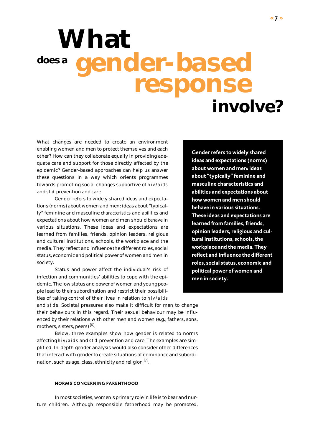# **What does a gender-based response involve?**

What changes are needed to create an environment enabling women and men to protect themselves and each other? How can they collaborate equally in providing adequate care and support for those directly affected by the epidemic? Gender-based approaches can help us answer these questions in a way which orients programmes towards promoting social changes supportive of hiv/aids and std prevention and care.

Gender refers to widely shared ideas and expectations (norms) about women and men: ideas about "typically" feminine and masculine *characteristics* and *abilities* and expectations about how women and men should *behave* in various situations. These ideas and expectations are learned from families, friends, opinion leaders, religious and cultural institutions, schools, the workplace and the media. They reflect and influence the different roles, social status, economic and political power of women and men in society.

Status and power affect the individual's risk of infection and communities' abilities to cope with the epidemic. The low status and power of women and young people lead to their subordination and restrict their possibilities of taking control of their lives in relation to hiv/aids

**Gender refers to widely shared ideas and expectations (norms) about women and men: ideas about "typically" feminine and masculine characteristics and abilities and expectations about how women and men should behave in various situations. These ideas and expectations are learned from families, friends, opinion leaders, religious and cultural institutions, schools, the workplace and the media. They reflect and influence the different roles, social status, economic and political power of women and men in society.**

and stds. Societal pressures also make it difficult for men to change their behaviours in this regard. Their sexual behaviour may be influenced by their relations with other men and women (e.g., fathers, sons, mothers, sisters, peers) [<sup>6</sup>] .

Below, three examples show how gender is related to norms affecting hiv/aids and std prevention and care. The examples are simplified. In-depth gender analysis would also consider other differences that interact with gender to create situations of dominance and subordination, such as age, class, ethnicity and religion  $^{[7]}$ .

#### **NORMS CONCERNING PARENTHOOD**

In most societies, women's primary role in life is to bear and nurture children. Although responsible fatherhood may be promoted,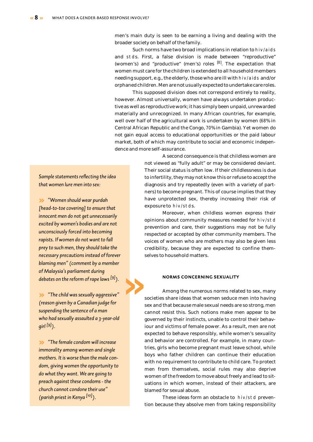men's main duty is seen to be earning a living and dealing with the broader society on behalf of the family.

Such norms have two broad implications in relation to hiv/aids and stds. First, a false division is made between "reproductive" (women's) and "productive" (men's) roles <sup>[8]</sup>. The expectation that women must care for the children is extended to all household members needing support, e.g., the elderly, those who are ill with hiv/aids and/or orphaned children. Men are not usually expected to undertake care roles.

This supposed division does not correspond entirely to reality, however. Almost universally, women have always undertaken productive as well as reproductive work; it has simply been unpaid, unrewarded materially and unrecognized. In many African countries, for example, well over half of the agricultural work is undertaken by women (68% in Central African Republic and the Congo, 70% in Gambia). Yet women do not gain equal access to educational opportunities or the paid labour market, both of which may contribute to social and economic independence and more self-assurance.

> A second consequence is that childless women are not viewed as "fully adult" or may be considered deviant. Their social status is often low. If their childlessness is due to infertility, they may not know this or refuse to accept the diagnosis and try repeatedly (even with a variety of partners) to become pregnant. This of course implies that they have unprotected sex, thereby increasing their risk of exposure to hiv/stds.

> Moreover, when childless women express their opinions about community measures needed for hiv/std prevention and care, their suggestions may not be fully respected or accepted by other community members. The voices of women who are mothers may also be given less credibility, because they are expected to confine themselves to household matters.

#### **NORMS CONCERNING SEXUALITY**

Among the numerous norms related to sex, many societies share ideas that women seduce men into having sex and that because male sexual needs are so strong, men cannot resist this. Such notions make men appear to be governed by their instincts, unable to control their behaviour and victims of female power. As a result, men are not expected to behave responsibly, while women's sexuality and behavior are controlled. For example, in many countries, girls who become pregnant must leave school, while boys who father children can continue their education with no requirement to contribute to child care. To protect men from themselves, social rules may also deprive women of the freedom to move about freely and lead to situations in which women, instead of their attackers, are blamed for sexual abuse.

These ideas form an obstacle to hiv/std prevention because they absolve men from taking responsibility

*Sample statements reflecting the idea that women lure men into sex:* 

**»** *"Women should wear purdah [head-to-toe covering] to ensure that innocent men do not get unnecessarily excited by women's bodies and are not unconsciously forced into becoming rapists. If women do not want to fall prey to such men, they should take the necessary precautions instead of forever blaming men" (comment by a member of Malaysia's parliament during debates on the reform of rape laws [9]).* 

**»** *"The child was sexually aggressive" (reason given by a Canadian judge for suspending the sentence of a man who had sexually assaulted a 3-year-old girl [9]).*

**»**

**»** *"The female condom will increase immorality among women and single mothers. It is worse than the male condom, giving women the opportunity to do what they want. We are going to preach against these condoms - the church cannot condone their use" (parish priest in Kenya [10]).*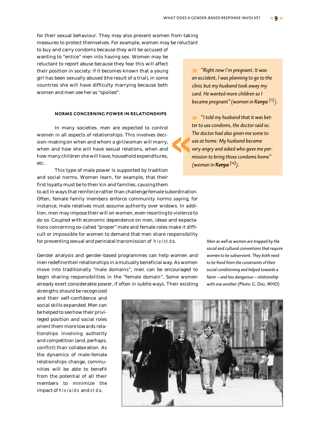for their sexual behaviour. They may also prevent women from taking measures to protect themselves. For example, women may be reluctant

to buy and carry condoms because they will be accused of wanting to "entice" men into having sex. Women may be reluctant to report abuse because they fear this will affect their position in society: if it becomes known that a young girl has been sexually abused (the result of a trial), in some countries she will have difficulty marrying because both women and men see her as "spoiled".

#### **NORMS CONCERNING POWER IN RELATIONSHIPS**

In many societies, men are expected to control women in all aspects of relationships. This involves decision-making on when and whom a girl/woman will marry, when and how she will have sexual relations, when and how many children she will have, household expenditures, etc.

This type of male power is supported by tradition and social norms. Women learn, for example, that their first loyalty must be to their kin and families, causing them

to act in ways that reinforce rather than challenge female subordination. Often, female family members enforce community norms saying, for instance, male relatives must assume authority over widows. In addition, men may impose their will on women, even resorting to violence to do so. Coupled with economic dependence on men, ideas and expectations concerning so-called "proper" male and female roles make it difficult or impossible for women to demand that men share responsibility for preventing sexual and perinatal transmission of hiv/stds.

Gender analysis and gender-based programmes can help women and men redefine their relationships in a mutually beneficial way. As women move into traditionally "male domains", men can be encouraged to begin sharing responsibilities in the "female domain". Some women already exert considerable power, if often in subtle ways. Their existing

strengths should be recognized and their self-confidence and social skills expanded. Men can be helped to see how their privileged position and social roles orient them more towards relationships involving authority and competition (and, perhaps, conflict) than collaboration. As the dynamics of male-female relationships change, communities will be able to benefit from the potential of all their members to minimize the impact of hiv/aids and stds.

**»** *"Right now I'm pregnant. It was an accident, I was planning to go to the clinic but my husband took away my card. He wanted more children so I became pregnant"(woman in Kenya [11]).*

**»** *"I told my husband that it was better to use condoms, the doctor said so. The doctor had also given me some to use at home. My husband became very angry and asked who gave me permission to bring those condoms home" (woman in Kenya [12]).*

**«**

*Men as well as women are trapped by the social and cultural conventions that require women to be subservient. They both need to be freed from the constraints of their social conditioning and helped towards a fairer – and less dangerous – relationship with one another (Photo: G. Diez, WHO)*

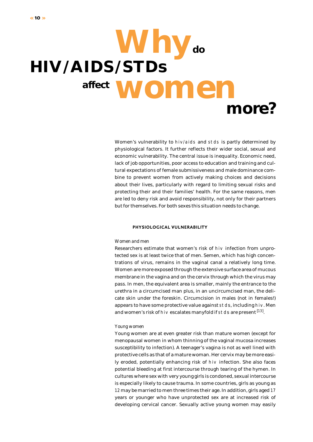## **Why do HIV/AIDS/STDs affect women more?**

Women's vulnerability to hiv/aids and stds is partly determined by physiological factors. It further reflects their wider social, sexual and economic vulnerability. The central issue is inequality. Economic need, lack of job opportunities, poor access to education and training and cultural expectations of female submissiveness and male dominance combine to prevent women from actively making choices and decisions about their lives, particularly with regard to limiting sexual risks and protecting their and their families' health. For the same reasons, men are led to deny risk and avoid responsibility, not only for their partners but for themselves. For both sexes this situation needs to change.

#### **PHYSIOLOGICAL VULNERABILITY**

#### *Women and men*

Researchers estimate that women's risk of hiv infection from unprotected sex is at least twice that of men. Semen, which has high concentrations of virus, remains in the vaginal canal a relatively long time. Women are more exposed through the extensive surface area of mucous membrane in the vagina and on the cervix through which the virus may pass. In men, the equivalent area is smaller, mainly the entrance to the urethra in a circumcised man plus, in an uncircumcised man, the delicate skin under the foreskin. Circumcision in males (not in females!) appears to have some protective value against stds, including hiv. Men and women's risk of hiv escalates manyfold if  $\mathop{\mathrm{stds}}$  are present  $^{[13]}.$ 

#### *Young women*

Young women are at even greater risk than mature women (except for menopausal women in whom thinning of the vaginal mucosa increases susceptibility to infection). A teenager's vagina is not as well lined with protective cells as that of a mature woman. Her cervix may be more easily eroded, potentially enhancing risk of hiv infection. She also faces potential bleeding at first intercourse through tearing of the hymen. In cultures where sex with very young girls is condoned, sexual intercourse is especially likely to cause trauma. In some countries, girls as young as 12 may be married to men three times their age. In addition, girls aged 17 years or younger who have unprotected sex are at increased risk of developing cervical cancer. Sexually active young women may easily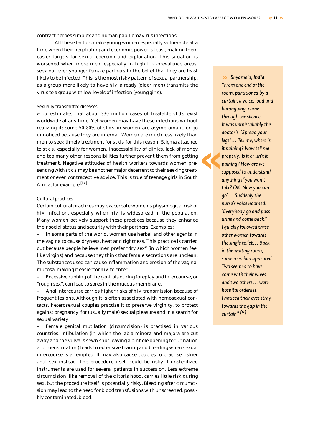**«**

contract herpes simplex and human papillomavirus infections.

All these factors make young women especially vulnerable at a time when their negotiating and economic power is least, making them easier targets for sexual coercion and exploitation. This situation is worsened when more men, especially in high hiv-prevalence areas, seek out ever younger female partners in the belief that they are least likely to be infected. This is the most risky pattern of sexual partnership, as a group more likely to have hiv already (older men) transmits the virus to a group with low levels of infection (young girls).

#### *Sexually transmitted diseases*

who estimates that about 330 million cases of treatable stds exist worldwide at any time. Yet women may have these infections without realizing it; some 50-80% of stds in women are asymptomatic or go unnoticed because they are internal. Women are much less likely than men to seek timely treatment for stds for this reason. Stigma attached to stds, especially for women, inaccessibility of clinics, lack of money and too many other responsibilities further prevent them from getting treatment. Negative attitudes of health workers towards women presenting with stds may be another major deterrent to their seeking treatment or even contraceptive advice. This is true of teenage girls in South Africa, for example <sup>[14]</sup>.

#### *Cultural practices*

Certain cultural practices may exacerbate women's physiological risk of hiv infection, especially when hiv is widespread in the population. Many women actively support these practices because they enhance their social status and security with their partners. Examples:

– In some parts of the world, women use herbal and other agents in the vagina to cause dryness, heat and tightness. This practice is carried out because people believe men prefer "dry sex" (in which women feel like virgins) and because they think that female secretions are unclean. The substances used can cause inflammation and erosion of the vaginal mucosa, making it easier for hiv to enter.

– Excessive rubbing of the genitals during foreplay and intercourse, or "rough sex", can lead to sores in the mucous membrane.

– Anal intercourse carries higher risks of hiv transmission because of frequent lesions. Although it is often associated with homosexual contacts, heterosexual couples practise it to preserve virginity, to protect against pregnancy, for (usually male) sexual pleasure and in a search for sexual variety.

– Female genital mutilation (circumcision) is practised in various countries. Infibulation (in which the labia minora and majora are cut away and the vulva is sewn shut leaving a pinhole opening for urination and menstruation) leads to extensive tearing and bleeding when sexual intercourse is attempted. It may also cause couples to practise riskier anal sex instead. The procedure itself could be risky if unsterilized instruments are used for several patients in succession. Less extreme circumcision, like removal of the clitoris hood, carries little risk during sex, but the procedure itself is potentially risky. Bleeding after circumcision may lead to the need for blood transfusions with unscreened, possibly contaminated, blood.

**»** *Shyamala, India: "From one end of the room, partitioned by a curtain, a voice, loud and haranguing, came through the silence. It was unmistakably the doctor's. 'Spread your legs!… Tell me, where is it paining? Now tell me properly! Is it or isn't it paining? How are we supposed to understand anything if you won't talk? OK. Now you can go'… Suddenly the nurse's voice boomed: 'Everybody go and pass urine and come back!' I quickly followed three other women towards the single toilet… Back in the waiting room, some men had appeared. Two seemed to have come with their wives and two others… were hospital orderlies. I noticed their eyes stray towards the gap in the curtain" [15].*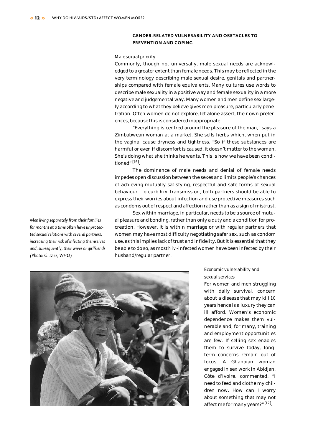#### **GENDER-RELATED VULNERABILITY AND OBSTACLES TO PREVENTION AND COPING**

#### *Male sexual priority*

Commonly, though not universally, male sexual needs are acknowledged to a greater extent than female needs. This may be reflected in the very terminology describing male sexual desire, genitals and partnerships compared with female equivalents. Many cultures use words to describe male sexuality in a positive way and female sexuality in a more negative and judgemental way. Many women and men define sex largely according to what they believe gives men pleasure, particularly penetration. Often women do not explore, let alone assert, their own preferences, because this is considered inappropriate.

"Everything is centred around the pleasure of the man," says a Zimbabwean woman at a market. She sells herbs which, when put in the vagina, cause dryness and tightness. "So if these substances are harmful or even if discomfort is caused, it doesn't matter to the woman. She's doing what she thinks he wants. This is how we have been conditioned" [<sup>16</sup>] .

The dominance of male needs and denial of female needs impedes open discussion between the sexes and limits people's chances of achieving mutually satisfying, respectful and safe forms of sexual behaviour. To curb hiv transmission, both partners should be able to express their worries about infection and use protective measures such as condoms out of respect and affection rather than as a sign of mistrust.

Sex within marriage, in particular, needs to be a source of mutual pleasure and bonding, rather than only a duty and a condition for procreation. However, it is within marriage or with regular partners that women may have most difficulty negotiating safer sex, such as condom use, as this implies lack of trust and infidelity. But it is essential that they be able to do so, as most hiv-infected women have been infected by their husband/regular partner.



*Economic vulnerability and sexual services*

For women and men struggling with daily survival, concern about a disease that may kill 10 years hence is a luxury they can ill afford. Women's economic dependence makes them vulnerable and, for many, training and employment opportunities are few. If selling sex enables them to survive today, longterm concerns remain out of focus. A Ghanaian woman engaged in sex work in Abidjan, Côte d'Ivoire, commented, "I need to feed and clothe my children now. How can I worry about something that may not affect me for many years?"<sup>[17]</sup>.

*Men living separately from their families for months at a time often have unprotected sexual relations with several partners, increasing their risk of infecting themselves and, subsequently, their wives or girlfriends (Photo: G. Diez, WHO)*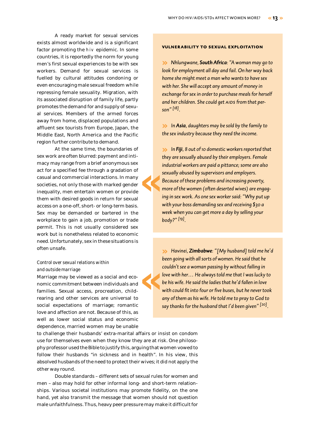A ready market for sexual services exists almost worldwide and is a significant factor promoting the hiv epidemic. In some countries, it is reportedly the norm for young men's first sexual experiences to be with sex workers. Demand for sexual services is fuelled by cultural attitudes condoning or even encouraging male sexual freedom while repressing female sexuality. Migration, with its associated disruption of family life, partly promotes the demand for and supply of sexual services. Members of the armed forces away from home, displaced populations and affluent sex tourists from Europe, Japan, the Middle East, North America and the Pacific region further contribute to demand.

At the same time, the boundaries of sex work are often blurred: payment and intimacy may range from a brief anonymous sex act for a specified fee through a gradation of casual and commercial interactions. In many societies, not only those with marked gender inequality, men entertain women or provide them with desired goods in return for sexual access on a one-off, short- or long-term basis. Sex may be demanded or bartered in the workplace to gain a job, promotion or trade permit. This is not usually considered sex work but is nonetheless related to economic need. Unfortunately, sex in these situations is often unsafe.

**«**

#### *Control over sexual relations within and outside marriage*

Marriage may be viewed as a social and economic commitment between individuals and families. Sexual access, procreation, childrearing and other services are universal to social expectations of marriage; romantic love and affection are not. Because of this, as well as lower social status and economic dependence, married women may be unable **«**

to challenge their husbands' extra-marital affairs or insist on condom use for themselves even when they know they are at risk. One philosophy professor used the Bible to justify this, arguing that women vowed to follow their husbands "in sickness and in health". In his view, this absolved husbands of the need to protect their wives; it did not apply the other way round.

Double standards – different sets of sexual rules for women and men – also may hold for other informal long- and short-term relationships. Various societal institutions may promote fidelity, on the one hand, yet also transmit the message that women should not question male unfaithfulness. Thus, heavy peer pressure may make it difficult for

#### **vulnerability to sexual exploitation**

**»** *Nhlungwane, South Africa: "A woman may go to look for employment all day and fail. On her way back home she might meet a man who wants to have sex with her. She will accept any amount of money in exchange for sex in order to purchase meals for herself and her children. She could get aids from that person" [18].*

**»** *In Asia, daughters may be sold by the family to the sex industry because they need the income.* 

**»** *In Fiji, 8 out of 10 domestic workers reported that they are sexually abused by their employers. Female industrial workers are paid a pittance; some are also sexually abused by supervisors and employers. Because of these problems and increasing poverty, more of the women (often deserted wives) are engaging in sex work. As one sex worker said: "Why put up with your boss demanding sex and receiving \$30 a week when you can get more a day by selling your body?" [19].*

**»** *Havinei, Zimbabwe: "[My husband] told me he'd been going with all sorts of women. He said that he couldn't see a woman passing by without falling in love with her… He always told me that I was lucky to be his wife. He said the ladies that he'd fallen in love with could fit into four or five buses, but he never took any of them as his wife. He told me to pray to God to say thanks for the husband that I'd been given" [20].*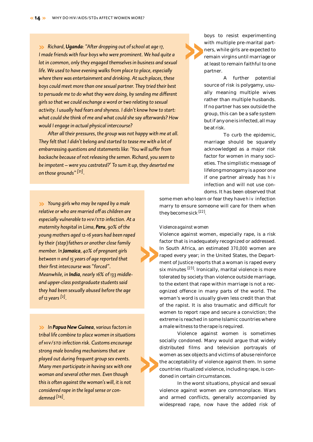**»** *Richard, Uganda: "After dropping out of school at age 17, I made friends with four boys who were prominent. We had quite a lot in common, only they engaged themselves in business and sexual life. We used to have evening walks from place to place, especially where there was entertainment and drinking. At such places, these boys could meet more than one sexual partner. They tried their best to persuade me to do what they were doing, by sending me different girls so that we could exchange a word or two relating to sexual activity. I usually had fears and shyness. I didn't know how to start: what could she think of me and what could she say afterwards? How would I engage in actual physical intercourse?*

*After all their pressures, the group was not happy with me at all. They felt that I didn't belong and started to tease me with a lot of embarrassing questions and statements like: 'You will suffer from backache because of not releasing the semen. Richard, you seem to be impotent – were you castrated?' To sum it up, they deserted me on those grounds" [21].*

**»** *Young girls who may be raped by a male relative or who are married off as children are especially vulnerable to hiv/std infection. At a maternity hospital in Lima, Peru, 90% of the young mothers aged 12-16 years had been raped by their (step)fathers or another close family member. In Jamaica, 40% of pregnant girls between 11 and 15 years of age reported that their first intercourse was "forced". Meanwhile, in India, nearly 16% of 133 middleand upper-class postgraduate students said they had been sexually abused before the age of 12 years [2].*

**»** *In Papua New Guinea, various factors in tribal life combine to place women in situations of hiv/std infection risk. Customs encourage strong male bonding mechanisms that are played out during frequent group sex events. Many men participate in having sex with one woman and several other men. Even though this is often against the woman's will, it is not considered rape in the legal sense or condemned [24].*

boys to resist experimenting with multiple pre-marital partners, while girls are expected to remain virgins until marriage or at least to remain faithful to one partner. **»**

> A further potential source of risk is polygamy, usually meaning multiple wives rather than multiple husbands. If no partner has sex outside the group, this can be a safe system but if any one is infected, all may be at risk.

> To curb the epidemic, marriage should be squarely acknowledged as a major risk factor for women in many societies. The simplistic message of lifelong monogamy is a poor one if one partner already has hiv infection and will not use condoms. It has been observed that

some men who learn or fear they have hiv infection marry to ensure someone will care for them when they become sick [22].

#### *Violence against women*

**»**

**»**

Violence against women, especially rape, is a risk factor that is inadequately recognized or addressed. In South Africa, an estimated 370,000 women are raped every year; in the United States, the Department of Justice reports that a woman is raped every six minutes <sup>[23]</sup>. Ironically, marital violence is more tolerated by society than violence outside marriage, to the extent that rape within marriage is not a recognized offence in many parts of the world. The woman's word is usually given less credit than that of the rapist. It is also traumatic and difficult for women to report rape and secure a conviction; the extreme is reached in some Islamic countries where a male witness to the rape is required.

Violence against women is sometimes socially condoned. Many would argue that widely distributed films and television portrayals of women as sex objects and victims of abuse reinforce the acceptability of violence against them. In some countries ritualized violence, including rape, is condoned in certain circumstances.

In the worst situations, physical and sexual violence against women are commonplace. Wars and armed conflicts, generally accompanied by widespread rape, now have the added risk of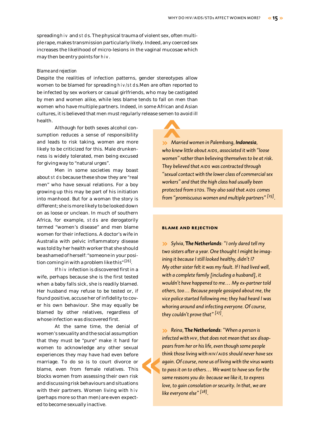spreading hiv and stds. The physical trauma of violent sex, often multiple rape, makes transmission particularly likely. Indeed, any coerced sex increases the likelihood of micro-lesions in the vaginal mucosae which may then be entry points for hiv.

#### *Blame and rejection*

Despite the realities of infection patterns, gender stereotypes allow women to be blamed for spreading hiv/stds.Men are often reported to be infected by sex workers or casual girlfriends, who may be castigated by men and women alike, while less blame tends to fall on men than women who have multiple partners. Indeed, in some African and Asian cultures, it is believed that men must regularly release semen to avoid ill health. **«**

Although for both sexes alcohol consumption reduces a sense of responsibility and leads to risk taking, women are more likely to be criticized for this. Male drunkenness is widely tolerated, men being excused for giving way to "natural urges".

Men in some societies may boast about stds because these show they are "real men" who have sexual relations. For a boy growing up this may be part of his initiation into manhood. But for a woman the story is different; she is more likely to be looked down on as loose or unclean. In much of southern Africa, for example, stds are derogatorily termed "women's disease" and men blame women for their infections. A doctor's wife in Australia with pelvic inflammatory disease was told by her health worker that she should be ashamed of herself: "someone in your position coming in with a problem like this" <sup>[26]</sup>.

If hiv infection is discovered first in a wife, perhaps because she is the first tested when a baby falls sick, she is readily blamed. Her husband may refuse to be tested or, if found positive, accuse her of infidelity to cover his own behaviour. She may equally be blamed by other relatives, regardless of whose infection was discovered first.

At the same time, the denial of women's sexuality and the social assumption that they must be "pure" make it hard for women to acknowledge any other sexual experiences they may have had even before marriage. To do so is to court divorce or blame, even from female relatives. This blocks women from assessing their own risk and discussing risk behaviours and situations with their partners. Women living with hiv (perhaps more so than men) are even expected to become sexually inactive. **«**

**»** *Married women in Palembang, Indonesia, who knew little about aids, associated it with "loose women" rather than believing themselves to be at risk. They believed that aids was contracted through "sexual contact with the lower class of commercial sex workers" and that the high class had usually been protected from stds. They also said that aids comes from "promiscuous women and multiple partners" [25].*

#### **blame and rejection**

**»** *Sylvia,* **T***he Netherlands: "I only dared tell my two sisters after a year. One thought I might be imagining it because I still looked healthy, didn't I? My other sister felt it was my fault. If I had lived well, with a complete family [including a husband], it wouldn't have happened to me… My ex-partner told others, too… Because people gossiped about me, the vice police started following me; they had heard I was whoring around and infecting everyone. Of course, they couldn't prove that" [27].*

**»** *Reina,* **<sup>T</sup>***he Netherlands: "When a person is infected with hiv, that does not mean that sex disappears from her or his life, even though some people think those living with hiv/aids should never have sex again. Of course, none us of living with the virus wants to pass it on to others… We want to have sex for the same reasons you do: because we like it, to express love, to gain consolation or security. In that, we are like everyone else" [28].*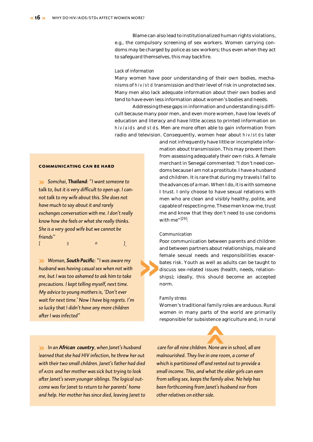Blame can also lead to institutionalized human rights violations, e.g., the compulsory screening of sex workers. Women carrying condoms may be charged by police as sex workers; thus even when they act to safeguard themselves, this may backfire.

#### *Lack of information*

Many women have poor understanding of their own bodies, mechanisms of hiv/std transmission and their level of risk in unprotected sex. Many men also lack adequate information about their own bodies and tend to have even less information about women's bodies and needs.

Addressing these gaps in information and understanding is difficult because many poor men, and even more women, have low levels of education and literacy and have little access to printed information on hiv/aids and stds. Men are more often able to gain information from radio and television. Consequently, women hear about hiv/stds later

> and not infrequently have little or incomplete information about transmission. This may prevent them from assessing adequately their own risks. A female merchant in Senegal commented: "I don't need condoms because I am not a prostitute. I have a husband and children. It is rare that during my travels I fall to the advances of a man. When I do, it is with someone I trust. I only choose to have sexual relations with men who are clean and visibly healthy, polite, and capable of respecting me. These men know me, trust me and know that they don't need to use condoms with me"  $^{[29]}$ .

#### *Communication*

Poor communication between parents and children and between partners about relationships, male and female sexual needs and responsibilities exacerbates risk. Youth as well as adults can be taught to discuss sex-related issues (health, needs, relationships); ideally, this should become an accepted norm.

#### *Family stress*

**»**

Women's traditional family roles are arduous. Rural women in many parts of the world are primarily responsible for subsistence agriculture and, in rural

**«**

**»** *In an African country, when Janet's husband learned that she had HIV infection, he threw her out with their two small children. Janet's father had died of aids and her mother was sick but trying to look after Janet's seven younger siblings. The logical outcome was for Janet to return to her parents' home and help. Her mother has since died, leaving Janet to*

*care for all nine children. None are in school, all are malnourished. They live in one room, a corner of which is partitioned off and rented out to provide a small income. This, and what the older girls can earn from selling sex, keeps the family alive. No help has been forthcoming from Janet's husband nor from other relatives on either side.*

**communicating can be hard**

**»** *Somchai, Thailand: "I want someone to talk to, but it is very difficult to open up. I cannot talk to my wife about this. She does not have much to say about it and rarely exchanges conversation with me. I don't really know how she feels or what she really thinks. She is a very good wife but we cannot be friends"*

*[30].*

**»** *Woman, South Pacific: "I was aware my husband was having casual sex when not with me, but I was too ashamed to ask him to take precautions. I kept telling myself, next time. My advice to young mothers is, 'Don't ever wait for next time.' Now I have big regrets. I'm so lucky that I didn't have any more children after I was infected"*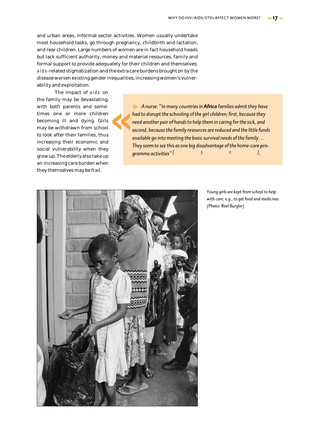and urban areas, informal sector activities. Women usually undertake most household tasks, go through pregnancy, childbirth and lactation, and rear children. Large numbers of women are in fact household heads but lack sufficient authority, money and material resources, family and formal support to provide adequately for their children and themselves. aids-related stigmatization and the extra care burdens brought on by the disease worsen existing gender inequalities, increasing women's vulnerability and exploitation.

The impact of aids on the family may be devastating, with both parents and sometimes one or more children becoming ill and dying. Girls may be withdrawn from school to look after their families, thus increasing their economic and social vulnerability when they grow up. The elderly also take up an increasing care burden when they themselves may be frail.

**»** *A nurse: "In many countries in Africa families admit they have had to disrupt the schooling of the girl children; first, because they need another pair of hands to help them in caring for the sick, and second, because the family resources are reduced and the little funds available go into meeting the basic survival needs of the family… They seem to see this as one big disadvantage of the home-care programme activities*" [32]. **«**



*Young girls are kept from school to help with care, e.g., to get food and medicines (Photo: Roel Burgler)*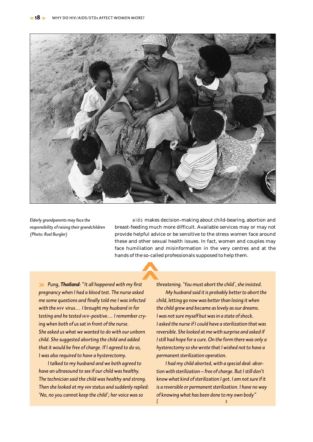

**«**

*Elderly grandparents may face the responsibility of raising their grandchildren (Photo: Roel Burgler)*

aids makes decision-making about child-bearing, abortion and breast-feeding much more difficult. Available services may or may not provide helpful advice or be sensitive to the stress women face around these and other sexual health issues. In fact, women and couples may face humiliation and misinformation in the very centres and at the hands of the so-called professionals supposed to help them.

**»** *Pung, Thailand: "It all happened with my first pregnancy when I had a blood test. The nurse asked me some questions and finally told me I was infected with the hiv virus… I brought my husband in for testing and he tested hiv-positive… I remember crying when both of us sat in front of the nurse. She asked us what we wanted to do with our unborn child. She suggested aborting the child and added that it would be free of charge. If I agreed to do so, I was also required to have a hysterectomy.* 

*I talked to my husband and we both agreed to have an ultrasound to see if our child was healthy. The technician said the child was healthy and strong. Then she looked at my hiv status and suddenly replied: 'No, no you cannot keep the child'; her voice was so* 

*threatening. 'You must abort the child', she insisted. My husband said it is probably better to abort the child, letting go now was better than losing it when the child grew and became as lovely as our dreams. I was not sure myself but was in a state of shock. I asked the nurse if I could have a sterilization that was reversible. She looked at me with surprise and asked if I still had hope for a cure. On the form there was only a hysterectomy so she wrote that I wished not to have a permanent sterilization operation.* 

*I had my child aborted, with a special deal: abortion with sterilization – free of charge. But I still don't know what kind of sterilization I got. I am not sure if it is a reversible or permanent sterilization. I have no way of knowing what has been done to my own body"*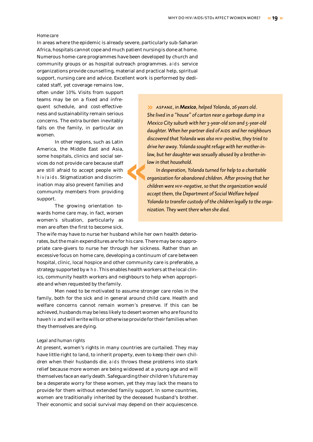#### *Home care*

In areas where the epidemic is already severe, particularly sub-Saharan Africa, hospitals cannot cope and much patient nursing is done at home. Numerous home-care programmes have been developed by church and community groups or as hospital outreach programmes. aids service organizations provide counselling, material and practical help, spiritual support, nursing care and advice. Excellent work is performed by dedi-

cated staff, yet coverage remains low, often under 10%. Visits from support teams may be on a fixed and infrequent schedule, and cost-effectiveness and sustainability remain serious concerns. The extra burden inevitably falls on the family, in particular on women.

In other regions, such as Latin America, the Middle East and Asia, some hospitals, clinics and social services do not provide care because staff are still afraid to accept people with hiv/aids. Stigmatization and discrimination may also prevent families and community members from providing support. **«**

The growing orientation towards home care may, in fact, worsen women's situation, particularly as men are often the first to become sick.

The wife may have to nurse her husband while her own health deteriorates, but the main expenditures are for his care. There may be no appropriate care-givers to nurse her through her sickness. Rather than an excessive focus on home care, developing a continuum of care between hospital, clinic, local hospice and other community care is preferable, a strategy supported by who. This enables health workers at the local clinics, community health workers and neighbours to help when appropriate and when requested by the family.

Men need to be motivated to assume stronger care roles in the family, both for the sick and in general around child care. Health and welfare concerns cannot remain women's preserve. If this can be achieved, husbands may be less likely to desert women who are found to have hiv and will write wills or otherwise provide for their families when they themselves are dying.

#### *Legal and human rights*

At present, women's rights in many countries are curtailed. They may have little right to land, to inherit property, even to keep their own children when their husbands die. aids throws these problems into stark relief because more women are being widowed at a young age and will themselves face an early death. Safeguarding their children's future may be a desperate worry for these women, yet they may lack the means to provide for them without extended family support. In some countries, women are traditionally inherited by the deceased husband's brother. Their economic and social survival may depend on their acquiescence.

**»** *aspane, in Mexico, helped Yolanda, 26 years old. She lived in a "house" of carton near a garbage dump in a Mexico City suburb with her 3-year-old son and 5-year-old daughter. When her partner died of aids and her neighbours discovered that Yolanda was also hiv-positive, they tried to drive her away. Yolanda sought refuge with her mother-inlaw, but her daughter was sexually abused by a brother-inlaw in that household.* 

*In desperation, Yolanda turned for help to a charitable organization for abandoned children. After proving that her children were hiv-negative, so that the organization would accept them, the Department of Social Welfare helped Yolanda to transfer custody of the children legally to the organization. They went there when she died.*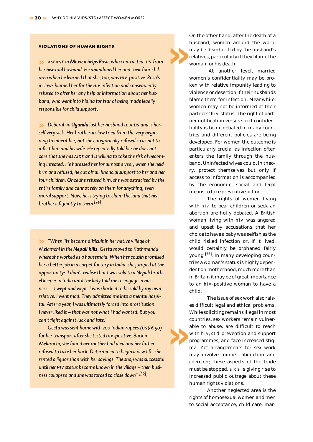#### **violations of human rights**

**»** *aspane in Mexico helps Rosa, who contracted hiv from her bisexual husband. He abandoned her and their four children when he learned that she, too, was hiv-positive. Rosa's in-laws blamed her for the hiv infection and consequently refused to offer her any help or information about her husband, who went into hiding for fear of being made legally responsible for child support.* 

**••** Deborah in Uganda lost her husband to AIDS and is her*self very sick. Her brother-in-law tried from the very beginning to inherit her, but she categorically refused so as not to infect him and his wife. He repeatedly told her he does not care that she has aids and is willing to take the risk of becoming infected. He harassed her for almost a year; when she held firm and refused, he cut off all financial support to her and her four children. Once she refused him, she was ostracized by the entire family and cannot rely on them for anything, even moral support. Now, he is trying to claim the land that his brother left jointly to them[34].*

**»** *"When life became difficult in her native village of Melamchi in the Nepali hills, Geeta moved to Kathmandu where she worked as a housemaid. When her cousin promised her a better job in a carpet factory in India, she jumped at the opportunity: 'I didn't realise that I was sold to a Nepali brothel keeper in India until the lady told me to engage in business… I wept and wept. I was shocked to be sold by my own relative. I went mad. They admitted me into a mental hospital. After a year, I was ultimately forced into prostitution. I never liked it – that was not what I had wanted. But you can't fight against luck and fate.'* 

*Geeta was sent home with 200 Indian rupees (us\$ 6.50) for her transport after she tested hiv-positive. Back in Melamchi, she found her mother had died and her father refused to take her back. Determined to begin a new life, she rented a liquor shop with her savings. The shop was successful until her hiv status became known in the village – then business collapsed and she was forced to close down" [36].*

On the other hand, after the death of a husband, women around the world may be disinherited by the husband's relatives, particularly if they blame the woman for his death. **»**

> At another level, married women's confidentiality may be broken with relative impunity leading to violence or desertion if their husbands blame them for infection. Meanwhile, women may not be informed of their partners' hiv status. The right of partner notification versus strict confidentiality is being debated in many countries and different policies are being developed. For women the outcome is particularly crucial as infection often enters the family through the husband. Uninfected wives could, in theory, protect themselves but only if access to information is accompanied by the economic, social and legal means to take preventive action.

> The rights of women living with hiv to bear children or seek an abortion are hotly debated. A British woman living with hiv was angered and upset by accusations that her choice to have a baby was selfish as the child risked infection or, if it lived, would certainly be orphaned fairly young [35] . In many developing countries a woman's status is highly dependent on motherhood; much more than in Britain it may be of great importance to an hiv-positive woman to have a child.

> The issue of sex work also raises difficult legal and ethical problems. While soliciting remains illegal in most countries, sex workers remain vulnerable to abuse, are difficult to reach with hiv/std prevention and support programmes, and face increased stigma. Yet arrangements for sex work may involve minors, abduction and coercion; these aspects of the trade must be stopped. aids is giving rise to increased public outrage about these human rights violations.

**»**

Another neglected area is the rights of homosexual women and men to social acceptance, child care, mar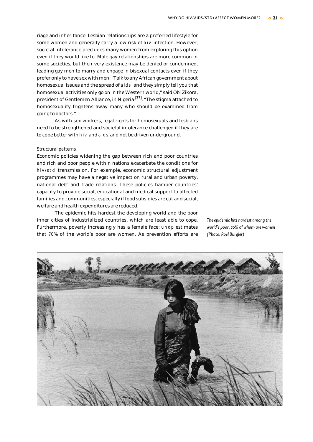riage and inheritance. Lesbian relationships are a preferred lifestyle for some women and generally carry a low risk of hiv infection. However, societal intolerance precludes many women from exploring this option even if they would like to. Male gay relationships are more common in some societies, but their very existence may be denied or condemned, leading gay men to marry and engage in bisexual contacts even if they prefer only to have sex with men. "Talk to any African government about homosexual issues and the spread of aids, and they simply tell you that homosexual activities only go on in the Western world," said Obi Zikora, president of Gentlemen Alliance, in Nigeria <sup>[37]</sup>. "The stigma attached to homosexuality frightens away many who should be examined from going to doctors."

As with sex workers, legal rights for homosexuals and lesbians need to be strengthened and societal intolerance challenged if they are to cope better with hiv and aids and not be driven underground.

#### *Structural patterns*

Economic policies widening the gap between rich and poor countries and rich and poor people within nations exacerbate the conditions for hiv/std transmission. For example, economic structural adjustment programmes may have a negative impact on rural and urban poverty, national debt and trade relations. These policies hamper countries' capacity to provide social, educational and medical support to affected families and communities, especially if food subsidies are cut and social, welfare and health expenditures are reduced.

The epidemic hits hardest the developing world and the poor inner cities of industrialized countries, which are least able to cope. Furthermore, poverty increasingly has a female face: undp estimates that 70% of the world's poor are women. As prevention efforts are

*The epidemic hits hardest among the world's poor, 70% of whom are women (Photo: Roel Burgler)*